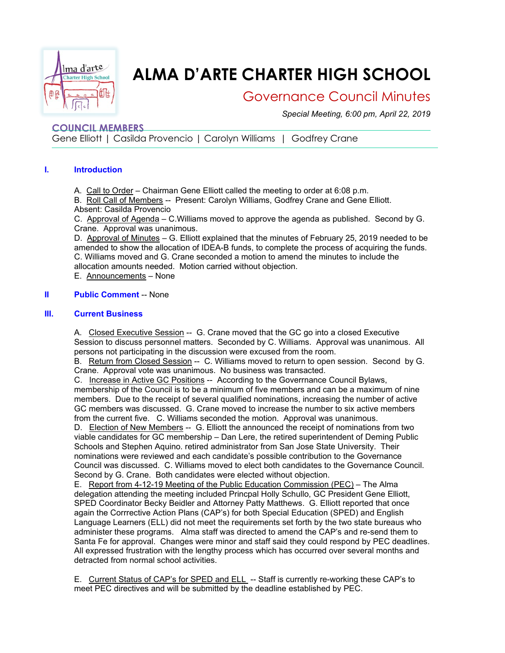

# **ALMA D'ARTE CHARTER HIGH SCHOOL**

## Governance Council Minutes

*Special Meeting, 6:00 pm, April 22, 2019*

### **COUNCIL MEMBERS**

Gene Elliott | Casilda Provencio | Carolyn Williams | Godfrey Crane

#### **I. Introduction**

A. Call to Order – Chairman Gene Elliott called the meeting to order at 6:08 p.m.

B. Roll Call of Members -- Present: Carolyn Williams, Godfrey Crane and Gene Elliott. Absent: Casilda Provencio

C. Approval of Agenda – C.Williams moved to approve the agenda as published. Second by G. Crane. Approval was unanimous.

D. Approval of Minutes – G. Elliott explained that the minutes of February 25, 2019 needed to be amended to show the allocation of IDEA-B funds, to complete the process of acquiring the funds. C. Williams moved and G. Crane seconded a motion to amend the minutes to include the allocation amounts needed. Motion carried without objection.

E. Announcements – None

#### **II Public Comment** -- None

#### **III. Current Business**

A. Closed Executive Session -- G. Crane moved that the GC go into a closed Executive Session to discuss personnel matters. Seconded by C. Williams. Approval was unanimous. All persons not participating in the discussion were excused from the room.

B. Return from Closed Session -- C. Williams moved to return to open session. Second by G. Crane. Approval vote was unanimous. No business was transacted.

C. Increase in Active GC Positions -- According to the Goverrnance Council Bylaws,

membership of the Council is to be a minimum of five members and can be a maximum of nine members. Due to the receipt of several qualified nominations, increasing the number of active GC members was discussed. G. Crane moved to increase the number to six active members from the current five. C. Williams seconded the motion. Approval was unanimous.

D. Election of New Members -- G. Elliott the announced the receipt of nominations from two viable candidates for GC membership – Dan Lere, the retired superintendent of Deming Public Schools and Stephen Aquino. retired administrator from San Jose State University. Their nominations were reviewed and each candidate's possible contribution to the Governance Council was discussed. C. Williams moved to elect both candidates to the Governance Council. Second by G. Crane. Both candidates were elected without objection.

E. Report from 4-12-19 Meeting of the Public Education Commission (PEC) – The Alma delegation attending the meeting included Princpal Holly Schullo, GC President Gene Elliott, SPED Coordinator Becky Beidler and Attorney Patty Matthews. G. Elliott reported that once again the Corrrective Action Plans (CAP's) for both Special Education (SPED) and English Language Learners (ELL) did not meet the requirements set forth by the two state bureaus who administer these programs. Alma staff was directed to amend the CAP's and re-send them to Santa Fe for approval. Changes were minor and staff said they could respond by PEC deadlines. All expressed frustration with the lengthy process which has occurred over several months and detracted from normal school activities.

E. Current Status of CAP's for SPED and ELL -- Staff is currently re-working these CAP's to meet PEC directives and will be submitted by the deadline established by PEC.